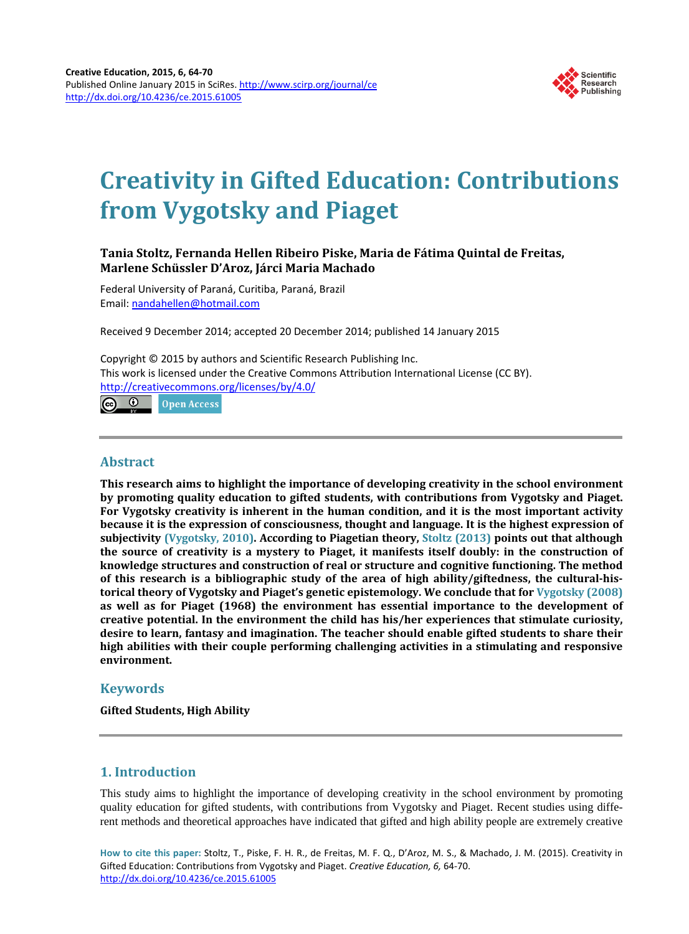

# **Creativity in Gifted Education: Contributions from Vygotsky and Piaget**

## **Tania Stoltz, Fernanda Hellen Ribeiro Piske, Maria de Fátima Quintal de Freitas, Marlene Schüssler D'Aroz, Járci Maria Machado**

Federal University of Paraná, Curitiba, Paraná, Brazil Email: [nandahellen@hotmail.com](mailto:nandahellen@hotmail.com)

Received 9 December 2014; accepted 20 December 2014; published 14 January 2015

Copyright © 2015 by authors and Scientific Research Publishing Inc. This work is licensed under the Creative Commons Attribution International License (CC BY). <http://creativecommons.org/licenses/by/4.0/> ര 0 **Open Access** 

**Abstract**

**This research aims to highlight the importance of developing creativity in the school environment by promoting quality education to gifted students, with contributions from Vygotsky and Piaget. For Vygotsky creativity is inherent in the human condition, and it is the most important activity because it is the expression of consciousness, thought and language. It is the highest expression of subjectivity [\(Vygotsky,](#page-6-0) 2010). According to Piagetian theory, Stoltz [\(2013\)](#page-5-0) points out that although the source of creativity is a mystery to Piaget, it manifests itself doubly: in the construction of knowledge structures and construction of real or structure and cognitive functioning. The method of this research is a bibliographic study of the area of high ability/giftedness, the cultural-historical theory of Vygotsky and Piaget's genetic epistemology. We conclude that for [Vygotsky](#page-6-0) (2008) as well as for Piaget (1968) the environment has essential importance to the development of creative potential. In the environment the child has his/her experiences that stimulate curiosity, desire to learn, fantasy and imagination. The teacher should enable gifted students to share their high abilities with their couple performing challenging activities in a stimulating and responsive environment.**

# **Keywords**

**Gifted Students, High Ability**

# **1. Introduction**

This study aims to highlight the importance of developing creativity in the school environment by promoting quality education for gifted students, with contributions from Vygotsky and Piaget. Recent studies using different methods and theoretical approaches have indicated that gifted and high ability people are extremely creative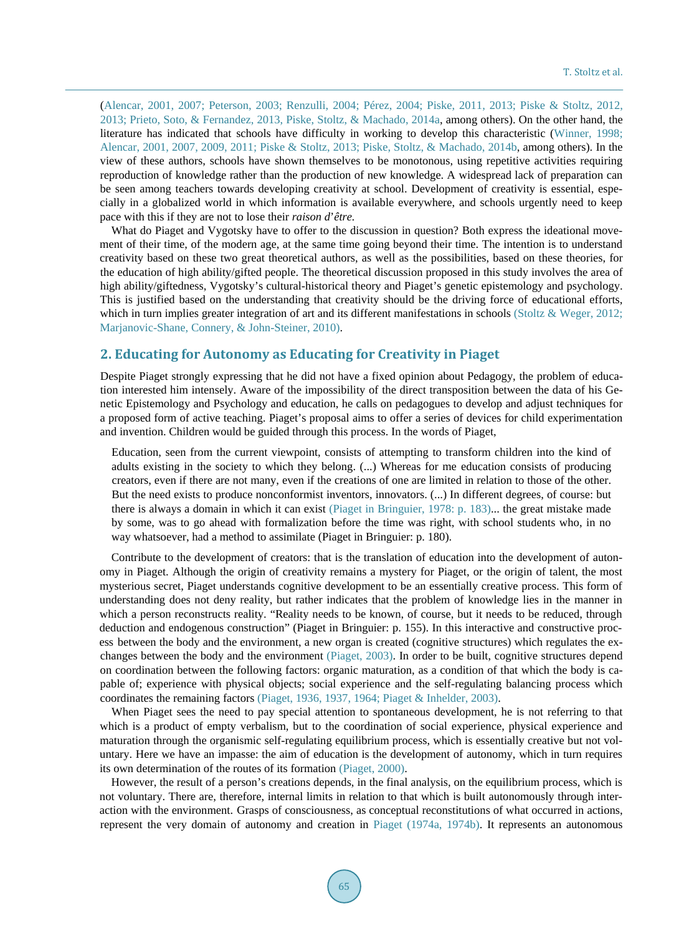[\(Alencar,](#page-4-0) 2001, 2007; [Peterson,](#page-5-0) 2003; Renzulli, 2004; Pérez, 2004; Piske, 2011, 2013; Piske & Stoltz, 2012, 2013; Prieto, Soto, & [Fernandez,](#page-5-0) 2013, Piske, Stoltz, & Machado, 2014a, among others). On the other hand, the literature has indicated that schools have difficulty in working to develop this characteristic [\(Winner,](#page-6-0) 1998; [Alencar,](#page-4-0) 2001, 2007, 2009, 2011; Piske & Stoltz, 2013; Piske, Stoltz, & [Machado,](#page-5-0) 2014b, among others). In the view of these authors, schools have shown themselves to be monotonous, using repetitive activities requiring reproduction of knowledge rather than the production of new knowledge. A widespread lack of preparation can be seen among teachers towards developing creativity at school. Development of creativity is essential, especially in a globalized world in which information is available everywhere, and schools urgently need to keep pace with this if they are not to lose their *raison d*'*être.*

What do Piaget and Vygotsky have to offer to the discussion in question? Both express the ideational movement of their time, of the modern age, at the same time going beyond their time. The intention is to understand creativity based on these two great theoretical authors, as well as the possibilities, based on these theories, for the education of high ability/gifted people. The theoretical discussion proposed in this study involves the area of high ability/giftedness, Vygotsky's cultural-historical theory and Piaget's genetic epistemology and psychology. This is justified based on the understanding that creativity should be the driving force of educational efforts, which in turn implies greater integration of art and its different manifestations in schools (Stoltz & [Weger,](#page-5-0) 2012; [Marjanovic-Shane,](#page-4-0) Connery, & John-Steiner, 2010).

#### **2. Educating for Autonomy as Educating for Creativity in Piaget**

Despite Piaget strongly expressing that he did not have a fixed opinion about Pedagogy, the problem of education interested him intensely. Aware of the impossibility of the direct transposition between the data of his Genetic Epistemology and Psychology and education, he calls on pedagogues to develop and adjust techniques for a proposed form of active teaching. Piaget's proposal aims to offer a series of devices for child experimentation and invention. Children would be guided through this process. In the words of Piaget,

Education, seen from the current viewpoint, consists of attempting to transform children into the kind of adults existing in the society to which they belong. (...) Whereas for me education consists of producing creators, even if there are not many, even if the creations of one are limited in relation to those of the other. But the need exists to produce nonconformist inventors, innovators. (...) In different degrees, of course: but there is always a domain in which it can exist (Piaget in [Bringuier,](#page-5-0) 1978: p. 183)... the great mistake made by some, was to go ahead with formalization before the time was right, with school students who, in no way whatsoever, had a method to assimilate (Piaget in Bringuier: p. 180).

Contribute to the development of creators: that is the translation of education into the development of autonomy in Piaget. Although the origin of creativity remains a mystery for Piaget, or the origin of talent, the most mysterious secret, Piaget understands cognitive development to be an essentially creative process. This form of understanding does not deny reality, but rather indicates that the problem of knowledge lies in the manner in which a person reconstructs reality. "Reality needs to be known, of course, but it needs to be reduced, through deduction and endogenous construction" (Piaget in Bringuier: p. 155). In this interactive and constructive process between the body and the environment, a new organ is created (cognitive structures) which regulates the exchanges between the body and the environment [\(Piaget,](#page-5-0) 2003). In order to be built, cognitive structures depend on coordination between the following factors: organic maturation, as a condition of that which the body is capable of; experience with physical objects; social experience and the self-regulating balancing process which coordinates the remaining factors (Piaget, 1936, 1937, 1964; Piaget & [Inhelder,](#page-5-0) 2003).

When Piaget sees the need to pay special attention to spontaneous development, he is not referring to that which is a product of empty verbalism, but to the coordination of social experience, physical experience and maturation through the organismic self-regulating equilibrium process, which is essentially creative but not voluntary. Here we have an impasse: the aim of education is the development of autonomy, which in turn requires its own determination of the routes of its formation [\(Piaget,](#page-5-0) 2000).

However, the result of a person's creations depends, in the final analysis, on the equilibrium process, which is not voluntary. There are, therefore, internal limits in relation to that which is built autonomously through interaction with the environment. Grasps of consciousness, as conceptual reconstitutions of what occurred in actions, represent the very domain of autonomy and creation in Piaget (1974a, [1974b\).](#page-5-0) It represents an autonomous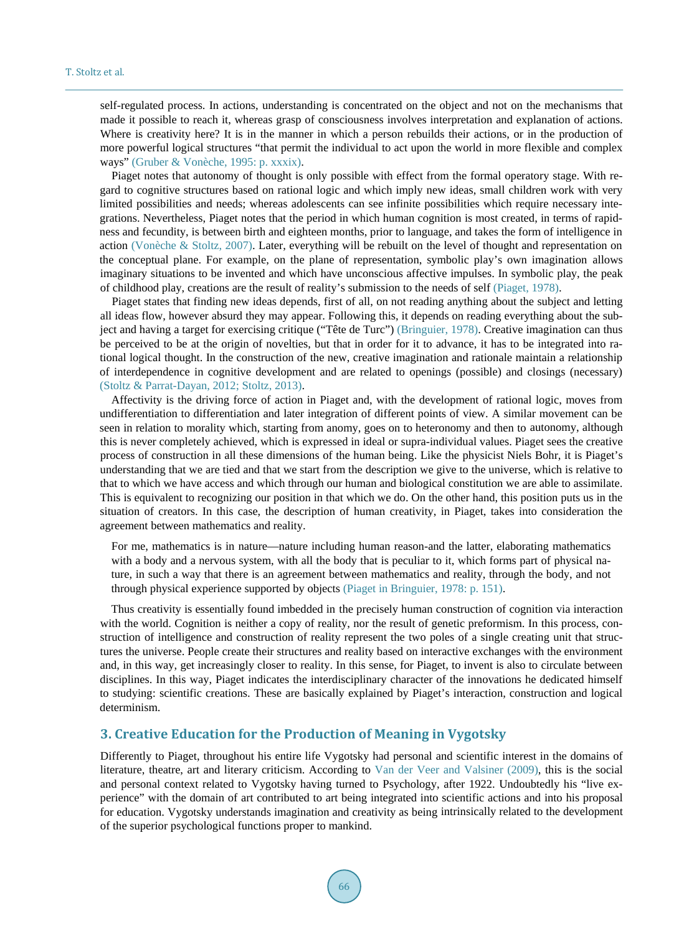self-regulated process. In actions, understanding is concentrated on the object and not on the mechanisms that made it possible to reach it, whereas grasp of consciousness involves interpretation and explanation of actions. Where is creativity here? It is in the manner in which a person rebuilds their actions, or in the production of more powerful logical structures "that permit the individual to act upon the world in more flexible and complex ways" (Gruber & [Vonèche,](#page-4-0) 1995: p. xxxix).

Piaget notes that autonomy of thought is only possible with effect from the formal operatory stage. With regard to cognitive structures based on rational logic and which imply new ideas, small children work with very limited possibilities and needs; whereas adolescents can see infinite possibilities which require necessary integrations. Nevertheless, Piaget notes that the period in which human cognition is most created, in terms of rapidness and fecundity, is between birth and eighteen months, prior to language, and takes the form of intelligence in action [\(Vonèche](#page-5-0) & Stoltz, 2007). Later, everything will be rebuilt on the level of thought and representation on the conceptual plane. For example, on the plane of representation, symbolic play's own imagination allows imaginary situations to be invented and which have unconscious affective impulses. In symbolic play, the peak of childhood play, creations are the result of reality's submission to the needs of self [\(Piaget,](#page-5-0) 1978).

Piaget states that finding new ideas depends, first of all, on not reading anything about the subject and letting all ideas flow, however absurd they may appear. Following this, it depends on reading everything about the subject and having a target for exercising critique ("Tête de Turc") [\(Bringuier,](#page-4-0) 1978). Creative imagination can thus be perceived to be at the origin of novelties, but that in order for it to advance, it has to be integrated into rational logical thought. In the construction of the new, creative imagination and rationale maintain a relationship of interdependence in cognitive development and are related to openings (possible) and closings (necessary) (Stoltz & [Parrat-Dayan,](#page-5-0) 2012; Stoltz, 2013).

Affectivity is the driving force of action in Piaget and, with the development of rational logic, moves from undifferentiation to differentiation and later integration of different points of view. A similar movement can be seen in relation to morality which, starting from anomy, goes on to heteronomy and then to autonomy, although this is never completely achieved, which is expressed in ideal or supra-individual values. Piaget sees the creative process of construction in all these dimensions of the human being. Like the physicist Niels Bohr, it is Piaget's understanding that we are tied and that we start from the description we give to the universe, which is relative to that to which we have access and which through our human and biological constitution we are able to assimilate. This is equivalent to recognizing our position in that which we do. On the other hand, this position puts us in the situation of creators. In this case, the description of human creativity, in Piaget, takes into consideration the agreement between mathematics and reality.

For me, mathematics is in nature—nature including human reason-and the latter, elaborating mathematics with a body and a nervous system, with all the body that is peculiar to it, which forms part of physical nature, in such a way that there is an agreement between mathematics and reality, through the body, and not through physical experience supported by objects (Piaget in [Bringuier,](#page-5-0) 1978: p. 151).

Thus creativity is essentially found imbedded in the precisely human construction of cognition via interaction with the world. Cognition is neither a copy of reality, nor the result of genetic preformism. In this process, construction of intelligence and construction of reality represent the two poles of a single creating unit that structures the universe. People create their structures and reality based on interactive exchanges with the environment and, in this way, get increasingly closer to reality. In this sense, for Piaget, to invent is also to circulate between disciplines. In this way, Piaget indicates the interdisciplinary character of the innovations he dedicated himself to studying: scientific creations. These are basically explained by Piaget's interaction, construction and logical determinism.

### **3. Creative Education for the Production of Meaning in Vygotsky**

Differently to Piaget, throughout his entire life Vygotsky had personal and scientific interest in the domains of literature, theatre, art and literary criticism. According to Van der Veer and [Valsiner](#page-5-0) (2009), this is the social and personal context related to Vygotsky having turned to Psychology, after 1922. Undoubtedly his "live experience" with the domain of art contributed to art being integrated into scientific actions and into his proposal for education. Vygotsky understands imagination and creativity as being intrinsically related to the development of the superior psychological functions proper to mankind.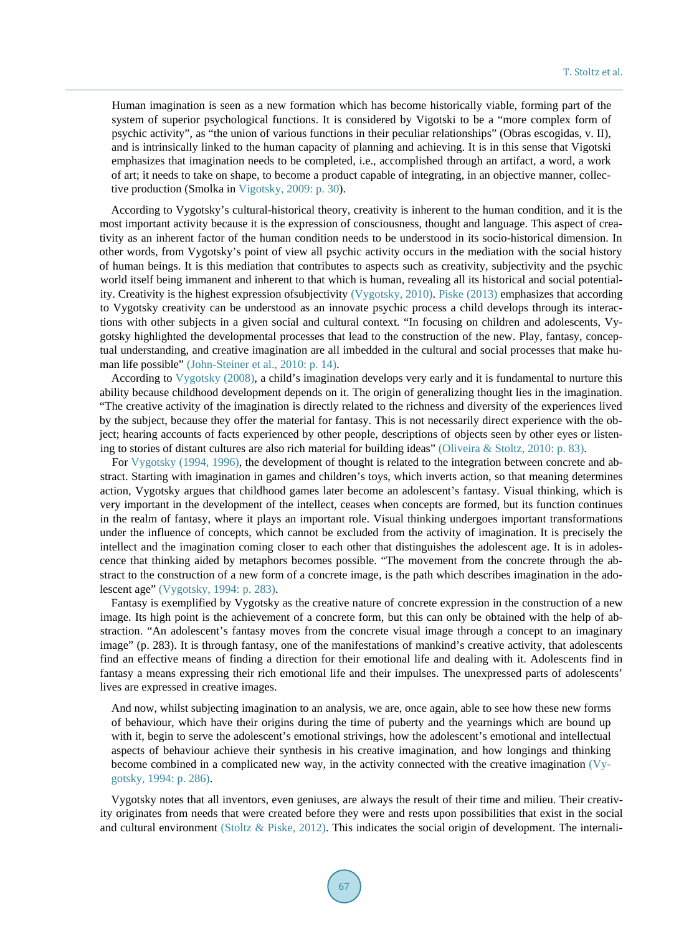Human imagination is seen as a new formation which has become historically viable, forming part of the system of superior psychological functions. It is considered by Vigotski to be a "more complex form of psychic activity", as "the union of various functions in their peculiar relationships" (Obras escogidas, v. II), and is intrinsically linked to the human capacity of planning and achieving. It is in this sense that Vigotski emphasizes that imagination needs to be completed, i.e., accomplished through an artifact, a word, a work of art; it needs to take on shape, to become a product capable of integrating, in an objective manner, collective production (Smolka in [Vigotsky,](#page-5-0) 2009: p. 30).

According to Vygotsky's cultural-historical theory, creativity is inherent to the human condition, and it is the most important activity because it is the expression of consciousness, thought and language. This aspect of creativity as an inherent factor of the human condition needs to be understood in its socio-historical dimension. In other words, from Vygotsky's point of view all psychic activity occurs in the mediation with the social history of human beings. It is this mediation that contributes to aspects such as creativity, subjectivity and the psychic world itself being immanent and inherent to that which is human, revealing all its historical and social potentiality. Creativity is the highest expression ofsubjectivity [\(Vygotsky,](#page-6-0) 2010). Piske [\(2013\)](#page-5-0) emphasizes that according to Vygotsky creativity can be understood as an innovate psychic process a child develops through its interactions with other subjects in a given social and cultural context. "In focusing on children and adolescents, Vygotsky highlighted the developmental processes that lead to the construction of the new. Play, fantasy, conceptual understanding, and creative imagination are all imbedded in the cultural and social processes that make human life possible" [\(John-Steiner](#page-4-0) et al., 2010: p. 14).

According to [Vygotsky](#page-6-0) (2008), a child's imagination develops very early and it is fundamental to nurture this ability because childhood development depends on it. The origin of generalizing thought lies in the imagination. "The creative activity of the imagination is directly related to the richness and diversity of the experiences lived by the subject, because they offer the material for fantasy. This is not necessarily direct experience with the object; hearing accounts of facts experienced by other people, descriptions of objects seen by other eyes or listening to stories of distant cultures are also rich material for building ideas" [\(Oliveira](#page-4-0) & Stoltz, 2010: p. 83).

For [Vygotsky](#page-6-0) (1994, 1996), the development of thought is related to the integration between concrete and abstract. Starting with imagination in games and children's toys, which inverts action, so that meaning determines action, Vygotsky argues that childhood games later become an adolescent's fantasy. Visual thinking, which is very important in the development of the intellect, ceases when concepts are formed, but its function continues in the realm of fantasy, where it plays an important role. Visual thinking undergoes important transformations under the influence of concepts, which cannot be excluded from the activity of imagination. It is precisely the intellect and the imagination coming closer to each other that distinguishes the adolescent age. It is in adolescence that thinking aided by metaphors becomes possible. "The movement from the concrete through the abstract to the construction of a new form of a concrete image, is the path which describes imagination in the adolescent age" [\(Vygotsky,](#page-6-0) 1994: p. 283).

Fantasy is exemplified by Vygotsky as the creative nature of concrete expression in the construction of a new image. Its high point is the achievement of a concrete form, but this can only be obtained with the help of abstraction. "An adolescent's fantasy moves from the concrete visual image through a concept to an imaginary image" (p. 283). It is through fantasy, one of the manifestations of mankind's creative activity, that adolescents find an effective means of finding a direction for their emotional life and dealing with it. Adolescents find in fantasy a means expressing their rich emotional life and their impulses. The unexpressed parts of adolescents' lives are expressed in creative images.

And now, whilst subjecting imagination to an analysis, we are, once again, able to see how these new forms of behaviour, which have their origins during the time of puberty and the yearnings which are bound up with it, begin to serve the adolescent's emotional strivings, how the adolescent's emotional and intellectual aspects of behaviour achieve their synthesis in his creative imagination, and how longings and thinking become combined in a complicated new way, in the activity connected with the creative imagination [\(Vy](#page-6-0)[gotsky,](#page-6-0) 1994: p. 286).

Vygotsky notes that all inventors, even geniuses, are always the result of their time and milieu. Their creativity originates from needs that were created before they were and rests upon possibilities that exist in the social and cultural environment [\(Stoltz](#page-5-0) & Piske, 2012). This indicates the social origin of development. The internali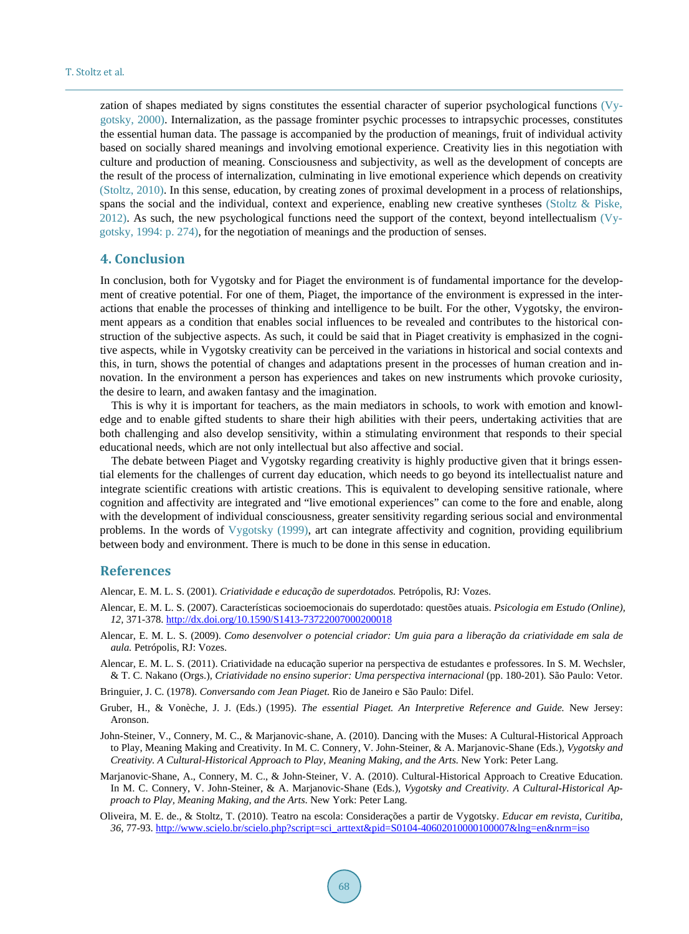zation of shapes mediated by signs constitutes the essential character of superior psychological functions [\(Vy](#page-6-0)[gotsky,](#page-6-0) 2000). Internalization, as the passage frominter psychic processes to intrapsychic processes, constitutes the essential human data. The passage is accompanied by the production of meanings, fruit of individual activity based on socially shared meanings and involving emotional experience. Creativity lies in this negotiation with culture and production of meaning. Consciousness and subjectivity, as well as the development of concepts are the result of the process of internalization, culminating in live emotional experience which depends on creativity [\(Stoltz,](#page-5-0) 2010). In this sense, education, by creating zones of proximal development in a process of relationships, spans the social and the individual, context and experience, enabling new creative syntheses [\(Stoltz](#page-5-0) & Piske, [2012\).](#page-5-0) As such, the new psychological functions need the support of the context, beyond intellectualism [\(Vy](#page-6-0)[gotsky,](#page-6-0) 1994: p. 274), for the negotiation of meanings and the production of senses.

#### **4. Conclusion**

In conclusion, both for Vygotsky and for Piaget the environment is of fundamental importance for the development of creative potential. For one of them, Piaget, the importance of the environment is expressed in the interactions that enable the processes of thinking and intelligence to be built. For the other, Vygotsky, the environment appears as a condition that enables social influences to be revealed and contributes to the historical construction of the subjective aspects. As such, it could be said that in Piaget creativity is emphasized in the cognitive aspects, while in Vygotsky creativity can be perceived in the variations in historical and social contexts and this, in turn, shows the potential of changes and adaptations present in the processes of human creation and innovation. In the environment a person has experiences and takes on new instruments which provoke curiosity, the desire to learn, and awaken fantasy and the imagination.

This is why it is important for teachers, as the main mediators in schools, to work with emotion and knowledge and to enable gifted students to share their high abilities with their peers, undertaking activities that are both challenging and also develop sensitivity, within a stimulating environment that responds to their special educational needs, which are not only intellectual but also affective and social.

The debate between Piaget and Vygotsky regarding creativity is highly productive given that it brings essential elements for the challenges of current day education, which needs to go beyond its intellectualist nature and integrate scientific creations with artistic creations. This is equivalent to developing sensitive rationale, where cognition and affectivity are integrated and "live emotional experiences" can come to the fore and enable, along with the development of individual consciousness, greater sensitivity regarding serious social and environmental problems. In the words of [Vygotsky](#page-6-0) (1999), art can integrate affectivity and cognition, providing equilibrium between body and environment. There is much to be done in this sense in education.

#### **References**

<span id="page-4-0"></span>Alencar, E. M. L. S. (2001). *Criatividade e educação de superdotados.* Petrópolis, RJ: Vozes.

- Alencar, E. M. L. S. (2007). Características socioemocionais do superdotado: questões atuais. *Psicologia em Estudo (Online), 12,* 371-378. <http://dx.doi.org/10.1590/S1413-73722007000200018>
- Alencar, E. M. L. S. (2009). *Como desenvolver o potencial criador: Um guia para a liberação da criatividade em sala de aula.* Petrópolis, RJ: Vozes.
- Alencar, E. M. L. S. (2011). Criatividade na educação superior na perspectiva de estudantes e professores. In S. M. Wechsler, & T. C. Nakano (Orgs.), *Criatividade no ensino superior: Uma perspectiva internacional* (pp. 180-201)*.* São Paulo: Vetor.
- Bringuier, J. C. (1978). *Conversando com Jean Piaget.* Rio de Janeiro e São Paulo: Difel.
- Gruber, H., & Vonèche, J. J. (Eds.) (1995). *The essential Piaget. An Interpretive Reference and Guide.* New Jersey: Aronson.
- John-Steiner, V., Connery, M. C., & Marjanovic-shane, A. (2010). Dancing with the Muses: A Cultural-Historical Approach to Play, Meaning Making and Creativity. In M. C. Connery, V. John-Steiner, & A. Marjanovic-Shane (Eds.), *Vygotsky and Creativity. A Cultural-Historical Approach to Play, Meaning Making, and the Arts.* New York: Peter Lang.
- Marjanovic-Shane, A., Connery, M. C., & John-Steiner, V. A. (2010). Cultural-Historical Approach to Creative Education. In M. C. Connery, V. John-Steiner, & A. Marjanovic-Shane (Eds.), *Vygotsky and Creativity. A Cultural-Historical Approach to Play, Meaning Making, and the Arts*. New York: Peter Lang.
- Oliveira, M. E. de., & Stoltz, T. (2010). Teatro na escola: Considerações a partir de Vygotsky. *Educar em revista, Curitiba, 36,* 77-93. [http://www.scielo.br/scielo.php?script=sci\\_arttext&pid=S0104-40602010000100007&lng=en&nrm=iso](http://www.scielo.br/scielo.php?script=sci_arttext&pid=S0104-40602010000100007&lng=en&nrm=iso)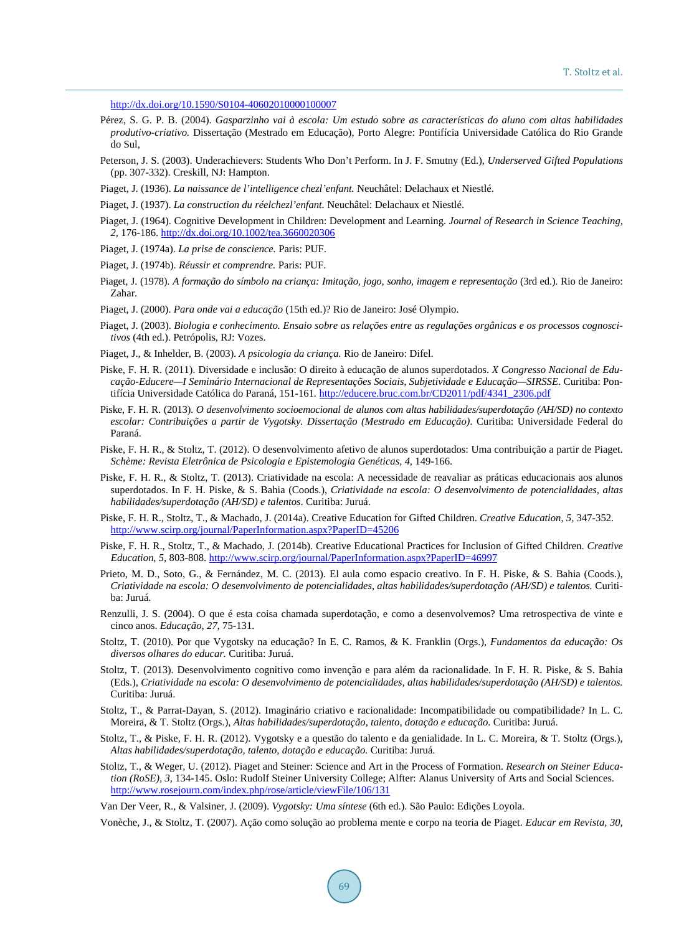<http://dx.doi.org/10.1590/S0104-40602010000100007>

- <span id="page-5-0"></span>Pérez, S. G. P. B. (2004). *Gasparzinho vai à escola: Um estudo sobre as características do aluno com altas habilidades produtivo-criativo.* Dissertação (Mestrado em Educação), Porto Alegre: Pontifícia Universidade Católica do Rio Grande do Sul,
- Peterson, J. S. (2003). Underachievers: Students Who Don't Perform. In J. F. Smutny (Ed.), *Underserved Gifted Populations* (pp. 307-332). Creskill, NJ: Hampton.
- Piaget, J. (1936). *La naissance de l'intelligence chezl'enfant.* Neuchâtel: Delachaux et Niestlé.
- Piaget, J. (1937). *La construction du réelchezl'enfant.* Neuchâtel: Delachaux et Niestlé.
- Piaget, J. (1964). Cognitive Development in Children: Development and Learning. *Journal of Research in Science Teaching, 2,* 176-186. <http://dx.doi.org/10.1002/tea.3660020306>
- Piaget, J. (1974a). *La prise de conscience.* Paris: PUF.
- Piaget, J. (1974b). *Réussir et comprendre.* Paris: PUF.
- Piaget, J. (1978). *A formação do símbolo na criança: Imitação, jogo, sonho, imagem e representação* (3rd ed.). Rio de Janeiro: Zahar.
- Piaget, J. (2000). *Para onde vai a educação* (15th ed.)? Rio de Janeiro: José Olympio.
- Piaget, J. (2003). *Biologia e conhecimento. Ensaio sobre as relações entre as regulações orgânicas e os processos cognoscitivos* (4th ed.). Petrópolis, RJ: Vozes.
- Piaget, J., & Inhelder, B. (2003). *A psicologia da criança.* Rio de Janeiro: Difel.
- Piske, F. H. R. (2011). Diversidade e inclusão: O direito à educação de alunos superdotados. *X Congresso Nacional de Educação-Educere—I Seminário Internacional de Representações Sociais, Subjetividade e Educação—SIRSSE*. Curitiba: Pontifícia Universidade Católica do Paraná, 151-161*.* [http://educere.bruc.com.br/CD2011/pdf/4341\\_2306.pdf](http://educere.bruc.com.br/CD2011/pdf/4341_2306.pdf)
- Piske, F. H. R. (2013). *O desenvolvimento socioemocional de alunos com altas habilidades/superdotação (AH/SD) no contexto escolar: Contribuições a partir de Vygotsky. Dissertação (Mestrado em Educação)*. Curitiba: Universidade Federal do Paraná.
- Piske, F. H. R., & Stoltz, T. (2012). O desenvolvimento afetivo de alunos superdotados: Uma contribuição a partir de Piaget. *Schème: Revista Eletrônica de Psicologia e Epistemologia Genéticas, 4,* 149-166.
- Piske, F. H. R., & Stoltz, T. (2013). Criatividade na escola: A necessidade de reavaliar as práticas educacionais aos alunos superdotados. In F. H. Piske, & S. Bahia (Coods.), *Criatividade na escola: O desenvolvimento de potencialidades, altas habilidades/superdotação (AH/SD) e talentos*. Curitiba: Juruá.
- Piske, F. H. R., Stoltz, T., & Machado, J. (2014a). Creative Education for Gifted Children. *Creative Education, 5,* 347-352. <http://www.scirp.org/journal/PaperInformation.aspx?PaperID=45206>
- Piske, F. H. R., Stoltz, T., & Machado, J. (2014b). Creative Educational Practices for Inclusion of Gifted Children. *Creative Education, 5,* 803-808. <http://www.scirp.org/journal/PaperInformation.aspx?PaperID=46997>
- Prieto, M. D., Soto, G., & Fernández, M. C. (2013). El aula como espacio creativo. In F. H. Piske, & S. Bahia (Coods.), *Criatividade na escola: O desenvolvimento de potencialidades, altas habilidades/superdotação (AH/SD) e talentos.* Curitiba: Juruá.
- Renzulli, J. S. (2004). O que é esta coisa chamada superdotação, e como a desenvolvemos? Uma retrospectiva de vinte e cinco anos. *Educação, 27,* 75-131.
- Stoltz, T. (2010). Por que Vygotsky na educação? In E. C. Ramos, & K. Franklin (Orgs.), *Fundamentos da educação: Os diversos olhares do educar.* Curitiba: Juruá.
- Stoltz, T. (2013). Desenvolvimento cognitivo como invenção e para além da racionalidade. In F. H. R. Piske, & S. Bahia (Eds.), *Criatividade na escola: O desenvolvimento de potencialidades, altas habilidades/superdotação (AH/SD) e talentos.* Curitiba: Juruá.
- Stoltz, T., & Parrat-Dayan, S. (2012). Imaginário criativo e racionalidade: Incompatibilidade ou compatibilidade? In L. C. Moreira, & T. Stoltz (Orgs.), *Altas habilidades/superdotação, talento, dotação e educação.* Curitiba: Juruá.
- Stoltz, T., & Piske, F. H. R. (2012). Vygotsky e a questão do talento e da genialidade. In L. C. Moreira, & T. Stoltz (Orgs.), *Altas habilidades/superdotação, talento, dotação e educação.* Curitiba: Juruá.
- Stoltz, T., & Weger, U. (2012). Piaget and Steiner: Science and Art in the Process of Formation. *Research on Steiner Education (RoSE), 3,* 134-145. Oslo: Rudolf Steiner University College; Alfter: Alanus University of Arts and Social Sciences. <http://www.rosejourn.com/index.php/rose/article/viewFile/106/131>

Van Der Veer, R., & Valsiner, J. (2009). *Vygotsky: Uma síntese* (6th ed.). São Paulo: Edições Loyola.

Vonèche, J., & Stoltz, T. (2007). Ação como solução ao problema mente e corpo na teoria de Piaget. *Educar em Revista, 30,*